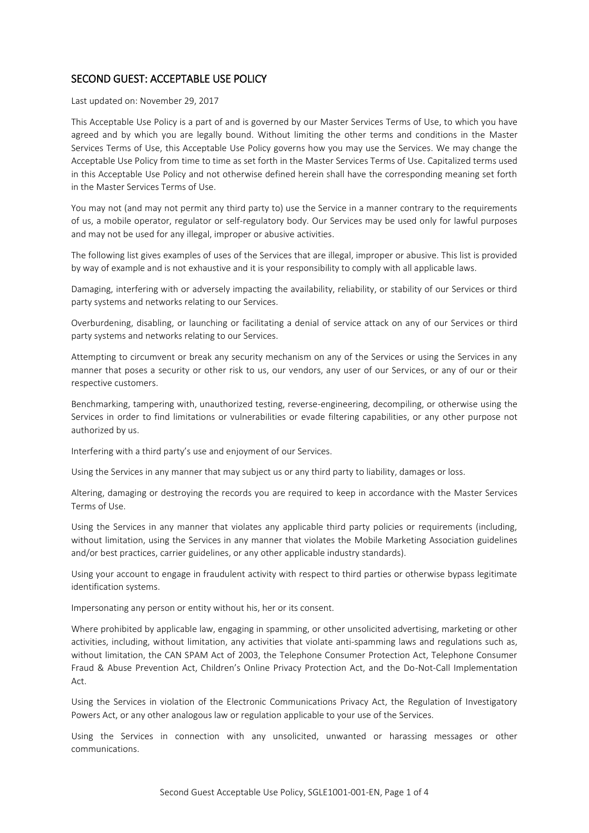## SECOND GUEST: ACCEPTABLE USE POLICY

Last updated on: November 29, 2017

This Acceptable Use Policy is a part of and is governed by our Master Services Terms of Use, to which you have agreed and by which you are legally bound. Without limiting the other terms and conditions in the Master Services Terms of Use, this Acceptable Use Policy governs how you may use the Services. We may change the Acceptable Use Policy from time to time as set forth in the Master Services Terms of Use. Capitalized terms used in this Acceptable Use Policy and not otherwise defined herein shall have the corresponding meaning set forth in the Master Services Terms of Use.

You may not (and may not permit any third party to) use the Service in a manner contrary to the requirements of us, a mobile operator, regulator or self-regulatory body. Our Services may be used only for lawful purposes and may not be used for any illegal, improper or abusive activities.

The following list gives examples of uses of the Services that are illegal, improper or abusive. This list is provided by way of example and is not exhaustive and it is your responsibility to comply with all applicable laws.

Damaging, interfering with or adversely impacting the availability, reliability, or stability of our Services or third party systems and networks relating to our Services.

Overburdening, disabling, or launching or facilitating a denial of service attack on any of our Services or third party systems and networks relating to our Services.

Attempting to circumvent or break any security mechanism on any of the Services or using the Services in any manner that poses a security or other risk to us, our vendors, any user of our Services, or any of our or their respective customers.

Benchmarking, tampering with, unauthorized testing, reverse-engineering, decompiling, or otherwise using the Services in order to find limitations or vulnerabilities or evade filtering capabilities, or any other purpose not authorized by us.

Interfering with a third party's use and enjoyment of our Services.

Using the Services in any manner that may subject us or any third party to liability, damages or loss.

Altering, damaging or destroying the records you are required to keep in accordance with the Master Services Terms of Use.

Using the Services in any manner that violates any applicable third party policies or requirements (including, without limitation, using the Services in any manner that violates the Mobile Marketing Association guidelines and/or best practices, carrier guidelines, or any other applicable industry standards).

Using your account to engage in fraudulent activity with respect to third parties or otherwise bypass legitimate identification systems.

Impersonating any person or entity without his, her or its consent.

Where prohibited by applicable law, engaging in spamming, or other unsolicited advertising, marketing or other activities, including, without limitation, any activities that violate anti-spamming laws and regulations such as, without limitation, the CAN SPAM Act of 2003, the Telephone Consumer Protection Act, Telephone Consumer Fraud & Abuse Prevention Act, Children's Online Privacy Protection Act, and the Do-Not-Call Implementation Act.

Using the Services in violation of the Electronic Communications Privacy Act, the Regulation of Investigatory Powers Act, or any other analogous law or regulation applicable to your use of the Services.

Using the Services in connection with any unsolicited, unwanted or harassing messages or other communications.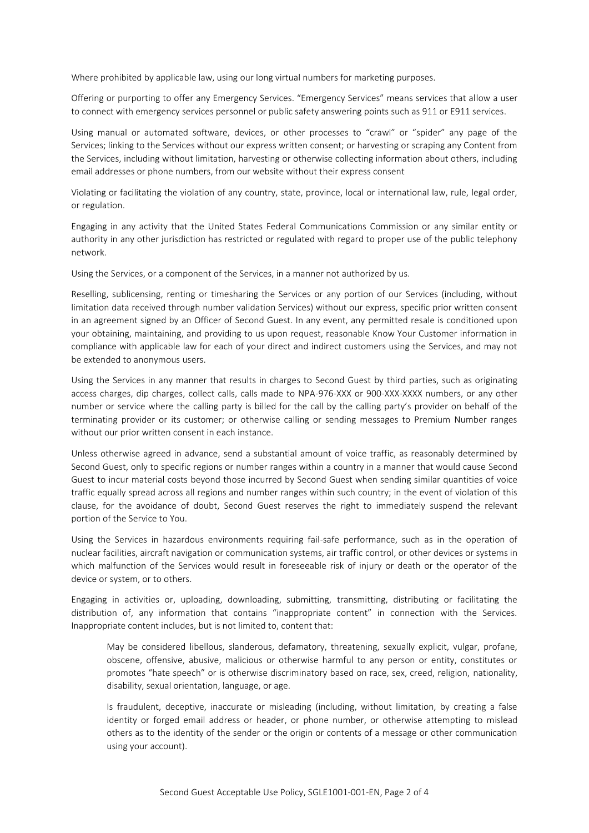Where prohibited by applicable law, using our long virtual numbers for marketing purposes.

Offering or purporting to offer any Emergency Services. "Emergency Services" means services that allow a user to connect with emergency services personnel or public safety answering points such as 911 or E911 services.

Using manual or automated software, devices, or other processes to "crawl" or "spider" any page of the Services; linking to the Services without our express written consent; or harvesting or scraping any Content from the Services, including without limitation, harvesting or otherwise collecting information about others, including email addresses or phone numbers, from our website without their express consent

Violating or facilitating the violation of any country, state, province, local or international law, rule, legal order, or regulation.

Engaging in any activity that the United States Federal Communications Commission or any similar entity or authority in any other jurisdiction has restricted or regulated with regard to proper use of the public telephony network.

Using the Services, or a component of the Services, in a manner not authorized by us.

Reselling, sublicensing, renting or timesharing the Services or any portion of our Services (including, without limitation data received through number validation Services) without our express, specific prior written consent in an agreement signed by an Officer of Second Guest. In any event, any permitted resale is conditioned upon your obtaining, maintaining, and providing to us upon request, reasonable Know Your Customer information in compliance with applicable law for each of your direct and indirect customers using the Services, and may not be extended to anonymous users.

Using the Services in any manner that results in charges to Second Guest by third parties, such as originating access charges, dip charges, collect calls, calls made to NPA-976-XXX or 900-XXX-XXXX numbers, or any other number or service where the calling party is billed for the call by the calling party's provider on behalf of the terminating provider or its customer; or otherwise calling or sending messages to Premium Number ranges without our prior written consent in each instance.

Unless otherwise agreed in advance, send a substantial amount of voice traffic, as reasonably determined by Second Guest, only to specific regions or number ranges within a country in a manner that would cause Second Guest to incur material costs beyond those incurred by Second Guest when sending similar quantities of voice traffic equally spread across all regions and number ranges within such country; in the event of violation of this clause, for the avoidance of doubt, Second Guest reserves the right to immediately suspend the relevant portion of the Service to You.

Using the Services in hazardous environments requiring fail-safe performance, such as in the operation of nuclear facilities, aircraft navigation or communication systems, air traffic control, or other devices or systems in which malfunction of the Services would result in foreseeable risk of injury or death or the operator of the device or system, or to others.

Engaging in activities or, uploading, downloading, submitting, transmitting, distributing or facilitating the distribution of, any information that contains "inappropriate content" in connection with the Services. Inappropriate content includes, but is not limited to, content that:

May be considered libellous, slanderous, defamatory, threatening, sexually explicit, vulgar, profane, obscene, offensive, abusive, malicious or otherwise harmful to any person or entity, constitutes or promotes "hate speech" or is otherwise discriminatory based on race, sex, creed, religion, nationality, disability, sexual orientation, language, or age.

Is fraudulent, deceptive, inaccurate or misleading (including, without limitation, by creating a false identity or forged email address or header, or phone number, or otherwise attempting to mislead others as to the identity of the sender or the origin or contents of a message or other communication using your account).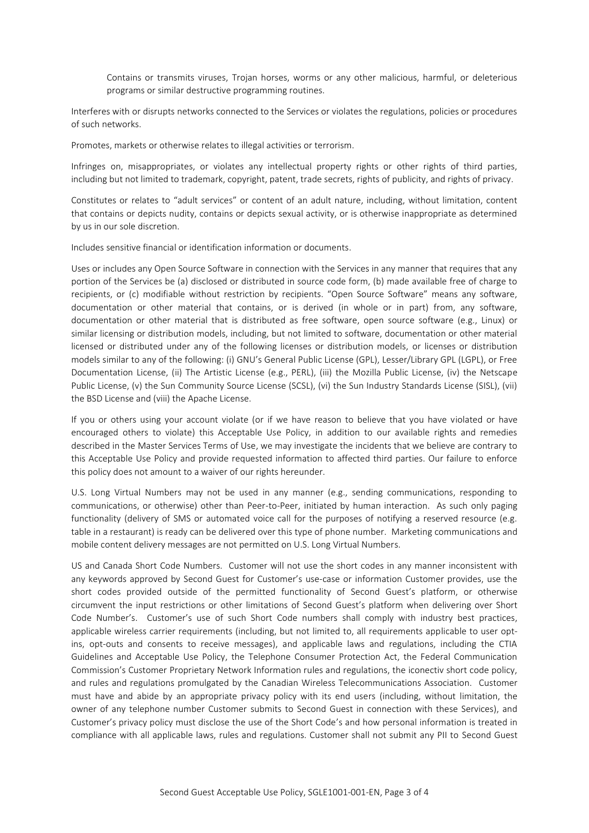Contains or transmits viruses, Trojan horses, worms or any other malicious, harmful, or deleterious programs or similar destructive programming routines.

Interferes with or disrupts networks connected to the Services or violates the regulations, policies or procedures of such networks.

Promotes, markets or otherwise relates to illegal activities or terrorism.

Infringes on, misappropriates, or violates any intellectual property rights or other rights of third parties, including but not limited to trademark, copyright, patent, trade secrets, rights of publicity, and rights of privacy.

Constitutes or relates to "adult services" or content of an adult nature, including, without limitation, content that contains or depicts nudity, contains or depicts sexual activity, or is otherwise inappropriate as determined by us in our sole discretion.

Includes sensitive financial or identification information or documents.

Uses or includes any Open Source Software in connection with the Services in any manner that requires that any portion of the Services be (a) disclosed or distributed in source code form, (b) made available free of charge to recipients, or (c) modifiable without restriction by recipients. "Open Source Software" means any software, documentation or other material that contains, or is derived (in whole or in part) from, any software, documentation or other material that is distributed as free software, open source software (e.g., Linux) or similar licensing or distribution models, including, but not limited to software, documentation or other material licensed or distributed under any of the following licenses or distribution models, or licenses or distribution models similar to any of the following: (i) GNU's General Public License (GPL), Lesser/Library GPL (LGPL), or Free Documentation License, (ii) The Artistic License (e.g., PERL), (iii) the Mozilla Public License, (iv) the Netscape Public License, (v) the Sun Community Source License (SCSL), (vi) the Sun Industry Standards License (SISL), (vii) the BSD License and (viii) the Apache License.

If you or others using your account violate (or if we have reason to believe that you have violated or have encouraged others to violate) this Acceptable Use Policy, in addition to our available rights and remedies described in the Master Services Terms of Use, we may investigate the incidents that we believe are contrary to this Acceptable Use Policy and provide requested information to affected third parties. Our failure to enforce this policy does not amount to a waiver of our rights hereunder.

U.S. Long Virtual Numbers may not be used in any manner (e.g., sending communications, responding to communications, or otherwise) other than Peer-to-Peer, initiated by human interaction. As such only paging functionality (delivery of SMS or automated voice call for the purposes of notifying a reserved resource (e.g. table in a restaurant) is ready can be delivered over this type of phone number. Marketing communications and mobile content delivery messages are not permitted on U.S. Long Virtual Numbers.

US and Canada Short Code Numbers. Customer will not use the short codes in any manner inconsistent with any keywords approved by Second Guest for Customer's use-case or information Customer provides, use the short codes provided outside of the permitted functionality of Second Guest's platform, or otherwise circumvent the input restrictions or other limitations of Second Guest's platform when delivering over Short Code Number's. Customer's use of such Short Code numbers shall comply with industry best practices, applicable wireless carrier requirements (including, but not limited to, all requirements applicable to user optins, opt-outs and consents to receive messages), and applicable laws and regulations, including the CTIA Guidelines and Acceptable Use Policy, the Telephone Consumer Protection Act, the Federal Communication Commission's Customer Proprietary Network Information rules and regulations, the iconectiv short code policy, and rules and regulations promulgated by the Canadian Wireless Telecommunications Association. Customer must have and abide by an appropriate privacy policy with its end users (including, without limitation, the owner of any telephone number Customer submits to Second Guest in connection with these Services), and Customer's privacy policy must disclose the use of the Short Code's and how personal information is treated in compliance with all applicable laws, rules and regulations. Customer shall not submit any PII to Second Guest